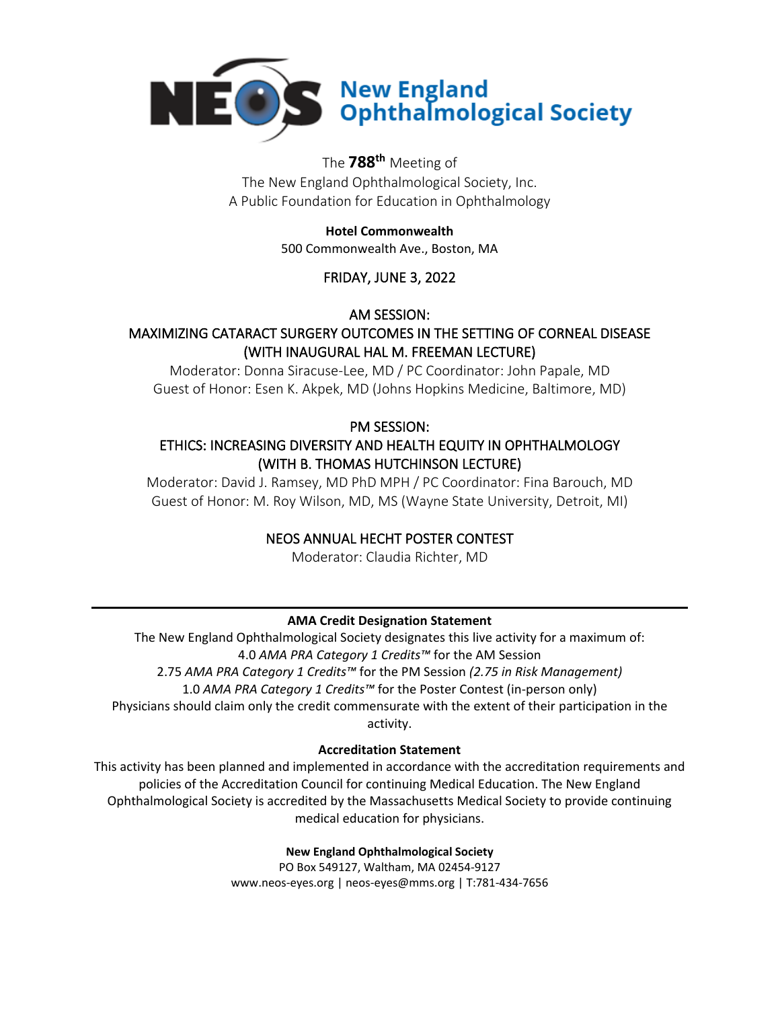

# **NEOS** New England<br> **DEOS** Ophthalmological Society

# The **788 th** Meeting of

The New England Ophthalmological Society, Inc. A Public Foundation for Education in Ophthalmology

#### **Hotel Commonwealth**

500 Commonwealth Ave., Boston, MA

#### FRIDAY, JUNE 3, 2022

AM SESSION:

### MAXIMIZING CATARACT SURGERY OUTCOMES IN THE SETTING OF CORNEAL DISEASE (WITH INAUGURAL HAL M. FREEMAN LECTURE)

Moderator: Donna Siracuse-Lee, MD / PC Coordinator: John Papale, MD Guest of Honor: Esen K. Akpek, MD (Johns Hopkins Medicine, Baltimore, MD)

#### PM SESSION:

#### ETHICS: INCREASING DIVERSITY AND HEALTH EQUITY IN OPHTHALMOLOGY (WITH B. THOMAS HUTCHINSON LECTURE)

Moderator: David J. Ramsey, MD PhD MPH / PC Coordinator: Fina Barouch, MD Guest of Honor: M. Roy Wilson, MD, MS (Wayne State University, Detroit, MI)

#### NEOS ANNUAL HECHT POSTER CONTEST

Moderator: Claudia Richter, MD

#### **AMA Credit Designation Statement**

The New England Ophthalmological Society designates this live activity for a maximum of: 4.0 *AMA PRA Category 1 Credits™* for the AM Session 2.75 *AMA PRA Category 1 Credits™* for the PM Session *(2.75 in Risk Management)* 1.0 *AMA PRA Category 1 Credits™* for the Poster Contest (in-person only) Physicians should claim only the credit commensurate with the extent of their participation in the activity.

#### **Accreditation Statement**

This activity has been planned and implemented in accordance with the accreditation requirements and policies of the Accreditation Council for continuing Medical Education. The New England Ophthalmological Society is accredited by the Massachusetts Medical Society to provide continuing medical education for physicians.

**New England Ophthalmological Society**

PO Box 549127, Waltham, MA 02454-9127 www.neos-eyes.org | neos-eyes@mms.org | T:781-434-7656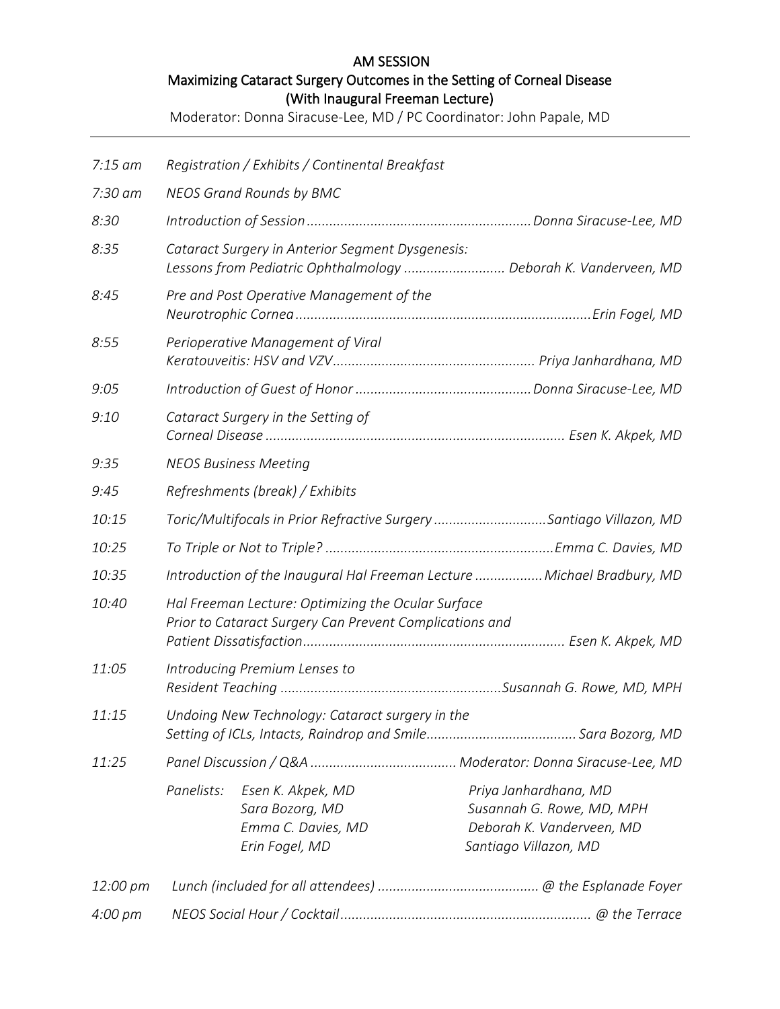## AM SESSION Maximizing Cataract Surgery Outcomes in the Setting of Corneal Disease (With Inaugural Freeman Lecture)

Moderator: Donna Siracuse-Lee, MD / PC Coordinator: John Papale, MD

| $7:15$ am | Registration / Exhibits / Continental Breakfast                                                                     |                                                                              |                                                                                                          |  |
|-----------|---------------------------------------------------------------------------------------------------------------------|------------------------------------------------------------------------------|----------------------------------------------------------------------------------------------------------|--|
| 7:30 am   | <b>NEOS Grand Rounds by BMC</b>                                                                                     |                                                                              |                                                                                                          |  |
| 8:30      |                                                                                                                     |                                                                              |                                                                                                          |  |
| 8:35      | Cataract Surgery in Anterior Segment Dysgenesis:<br>Lessons from Pediatric Ophthalmology  Deborah K. Vanderveen, MD |                                                                              |                                                                                                          |  |
| 8:45      | Pre and Post Operative Management of the                                                                            |                                                                              |                                                                                                          |  |
| 8:55      |                                                                                                                     | Perioperative Management of Viral                                            |                                                                                                          |  |
| 9:05      |                                                                                                                     |                                                                              |                                                                                                          |  |
| 9:10      | Cataract Surgery in the Setting of                                                                                  |                                                                              |                                                                                                          |  |
| 9:35      | <b>NEOS Business Meeting</b>                                                                                        |                                                                              |                                                                                                          |  |
| 9:45      | Refreshments (break) / Exhibits                                                                                     |                                                                              |                                                                                                          |  |
| 10:15     | Toric/Multifocals in Prior Refractive Surgery Santiago Villazon, MD                                                 |                                                                              |                                                                                                          |  |
| 10:25     |                                                                                                                     |                                                                              |                                                                                                          |  |
| 10:35     | Introduction of the Inaugural Hal Freeman Lecture  Michael Bradbury, MD                                             |                                                                              |                                                                                                          |  |
| 10:40     | Hal Freeman Lecture: Optimizing the Ocular Surface<br>Prior to Cataract Surgery Can Prevent Complications and       |                                                                              |                                                                                                          |  |
| 11:05     | Introducing Premium Lenses to                                                                                       |                                                                              |                                                                                                          |  |
| 11:15     | Undoing New Technology: Cataract surgery in the                                                                     |                                                                              |                                                                                                          |  |
| 11:25     |                                                                                                                     |                                                                              |                                                                                                          |  |
|           | Panelists:                                                                                                          | Esen K. Akpek, MD<br>Sara Bozorg, MD<br>Emma C. Davies, MD<br>Erin Fogel, MD | Priya Janhardhana, MD<br>Susannah G. Rowe, MD, MPH<br>Deborah K. Vanderveen, MD<br>Santiago Villazon, MD |  |
| 12:00 pm  |                                                                                                                     |                                                                              |                                                                                                          |  |
| 4:00 pm   |                                                                                                                     |                                                                              |                                                                                                          |  |